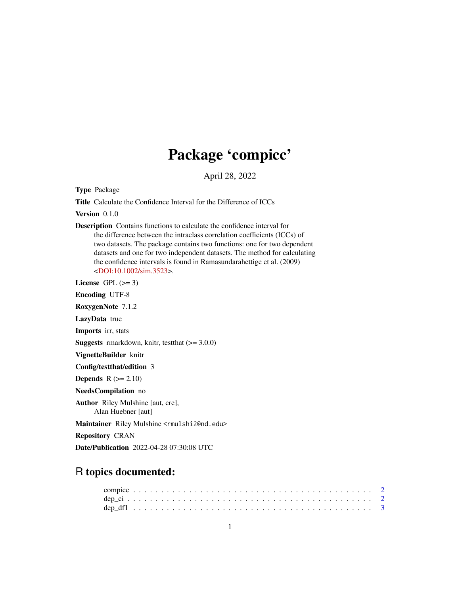## Package 'compicc'

April 28, 2022

Type Package

Title Calculate the Confidence Interval for the Difference of ICCs

Version 0.1.0

Description Contains functions to calculate the confidence interval for the difference between the intraclass correlation coefficients (ICCs) of two datasets. The package contains two functions: one for two dependent datasets and one for two independent datasets. The method for calculating the confidence intervals is found in Ramasundarahettige et al. (2009) [<DOI:10.1002/sim.3523>](https://doi.org/10.1002/sim.3523).

License GPL  $(>= 3)$ 

Encoding UTF-8

RoxygenNote 7.1.2

LazyData true

Imports irr, stats

**Suggests** rmarkdown, knitr, test that  $(>= 3.0.0)$ 

VignetteBuilder knitr

Config/testthat/edition 3

**Depends**  $R$  ( $>= 2.10$ )

NeedsCompilation no

Author Riley Mulshine [aut, cre], Alan Huebner [aut]

Maintainer Riley Mulshine <rmulshi2@nd.edu>

Repository CRAN

Date/Publication 2022-04-28 07:30:08 UTC

### R topics documented: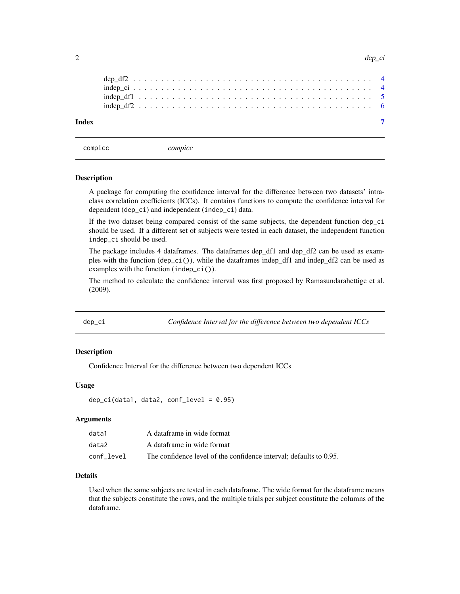<span id="page-1-0"></span> $2$  dep\_cine and  $\epsilon$  dep\_cine and  $\epsilon$  dep\_cine and  $\epsilon$  dep\_cine and  $\epsilon$  dep\_cine and  $\epsilon$ 

| Index |  |  |  |  |  |  |  |  |  |  |  |  |  |  |  |  |  |  |  |  |  |  |
|-------|--|--|--|--|--|--|--|--|--|--|--|--|--|--|--|--|--|--|--|--|--|--|

compicc *compicc*

#### Description

A package for computing the confidence interval for the difference between two datasets' intraclass correlation coefficients (ICCs). It contains functions to compute the confidence interval for dependent (dep\_ci) and independent (indep\_ci) data.

If the two dataset being compared consist of the same subjects, the dependent function dep\_ci should be used. If a different set of subjects were tested in each dataset, the independent function indep\_ci should be used.

The package includes 4 dataframes. The dataframes dep\_df1 and dep\_df2 can be used as examples with the function  $(\text{dep\_ci}())$ , while the dataframes indep\_df1 and indep\_df2 can be used as examples with the function (indep\_ci()).

The method to calculate the confidence interval was first proposed by Ramasundarahettige et al. (2009).

dep\_ci *Confidence Interval for the difference between two dependent ICCs*

#### Description

Confidence Interval for the difference between two dependent ICCs

#### Usage

```
dep_ci(data1, data2, conf_level = 0.95)
```
#### Arguments

| data1      | A dataframe in wide format                                         |
|------------|--------------------------------------------------------------------|
| data2      | A dataframe in wide format                                         |
| conf level | The confidence level of the confidence interval: defaults to 0.95. |

#### Details

Used when the same subjects are tested in each dataframe. The wide format for the dataframe means that the subjects constitute the rows, and the multiple trials per subject constitute the columns of the dataframe.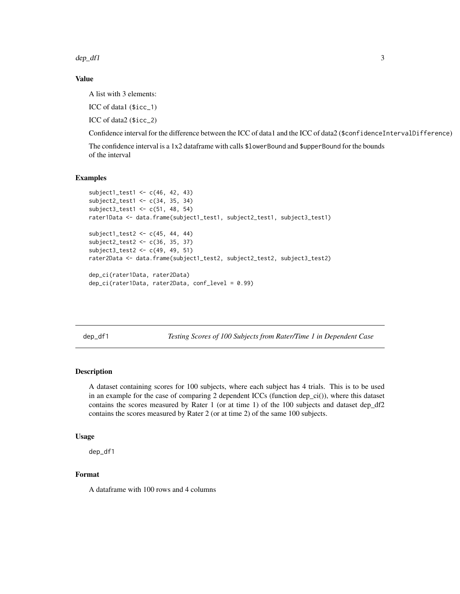<span id="page-2-0"></span> $\text{dep\_df1}$  3

#### Value

A list with 3 elements:

ICC of data1 (\$icc\_1)

ICC of data2 (\$icc\_2)

Confidence interval for the difference between the ICC of data1 and the ICC of data2 (\$confidenceIntervalDifference)

The confidence interval is a 1x2 dataframe with calls \$lowerBound and \$upperBound for the bounds of the interval

#### Examples

```
subject1_test1 <- c(46, 42, 43)
subject2_test1 <- c(34, 35, 34)
subject3_test1 <- c(51, 48, 54)
rater1Data <- data.frame(subject1_test1, subject2_test1, subject3_test1)
subject1_test2 <- c(45, 44, 44)
subject2_test2 <- c(36, 35, 37)
subject3_test2 <- c(49, 49, 51)
rater2Data <- data.frame(subject1_test2, subject2_test2, subject3_test2)
dep_ci(rater1Data, rater2Data)
dep_ci(rater1Data, rater2Data, conf_level = 0.99)
```
dep\_df1 *Testing Scores of 100 Subjects from Rater/Time 1 in Dependent Case*

#### Description

A dataset containing scores for 100 subjects, where each subject has 4 trials. This is to be used in an example for the case of comparing 2 dependent ICCs (function dep\_ci()), where this dataset contains the scores measured by Rater 1 (or at time 1) of the 100 subjects and dataset dep\_df2 contains the scores measured by Rater 2 (or at time 2) of the same 100 subjects.

#### Usage

dep\_df1

#### Format

A dataframe with 100 rows and 4 columns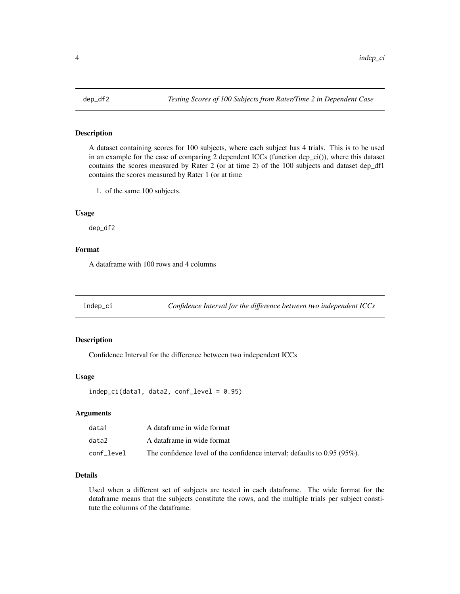<span id="page-3-0"></span>

#### Description

A dataset containing scores for 100 subjects, where each subject has 4 trials. This is to be used in an example for the case of comparing 2 dependent ICCs (function dep\_ci()), where this dataset contains the scores measured by Rater 2 (or at time 2) of the 100 subjects and dataset dep\_df1 contains the scores measured by Rater 1 (or at time

1. of the same 100 subjects.

#### Usage

dep\_df2

#### Format

A dataframe with 100 rows and 4 columns

indep\_ci *Confidence Interval for the difference between two independent ICCs*

#### Description

Confidence Interval for the difference between two independent ICCs

#### Usage

 $indep_c i (data1, data2, conf\_level = 0.95)$ 

#### Arguments

| data1      | A dataframe in wide format                                                  |
|------------|-----------------------------------------------------------------------------|
| data2      | A dataframe in wide format                                                  |
| conf level | The confidence level of the confidence interval; defaults to $0.95(95\%)$ . |

#### Details

Used when a different set of subjects are tested in each dataframe. The wide format for the dataframe means that the subjects constitute the rows, and the multiple trials per subject constitute the columns of the dataframe.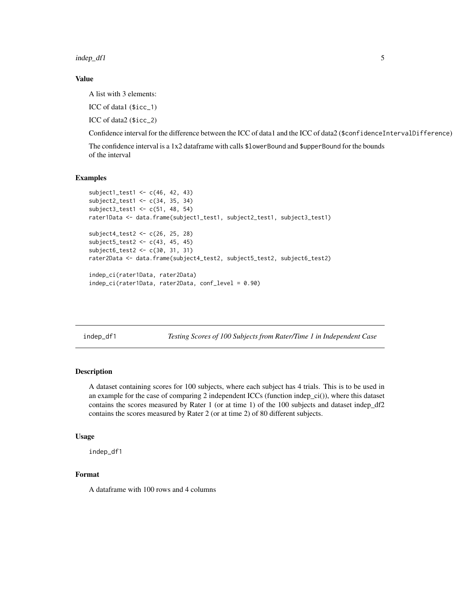<span id="page-4-0"></span>indep\_df1 5

#### Value

A list with 3 elements:

ICC of data1 (\$icc\_1)

ICC of data2 (\$icc\_2)

Confidence interval for the difference between the ICC of data1 and the ICC of data2 (\$confidenceIntervalDifference)

The confidence interval is a 1x2 dataframe with calls \$lowerBound and \$upperBound for the bounds of the interval

#### Examples

```
subject1_test1 <- c(46, 42, 43)
subject2_test1 <- c(34, 35, 34)
subject3_test1 <- c(51, 48, 54)
rater1Data <- data.frame(subject1_test1, subject2_test1, subject3_test1)
subject4_test2 <- c(26, 25, 28)
subject5_test2 <- c(43, 45, 45)
subject6_test2 <- c(30, 31, 31)
rater2Data <- data.frame(subject4_test2, subject5_test2, subject6_test2)
indep_ci(rater1Data, rater2Data)
indep_ci(rater1Data, rater2Data, conf_level = 0.90)
```
indep\_df1 *Testing Scores of 100 Subjects from Rater/Time 1 in Independent Case*

#### Description

A dataset containing scores for 100 subjects, where each subject has 4 trials. This is to be used in an example for the case of comparing 2 independent ICCs (function indep\_ci()), where this dataset contains the scores measured by Rater 1 (or at time 1) of the 100 subjects and dataset indep\_df2 contains the scores measured by Rater 2 (or at time 2) of 80 different subjects.

#### Usage

indep\_df1

#### Format

A dataframe with 100 rows and 4 columns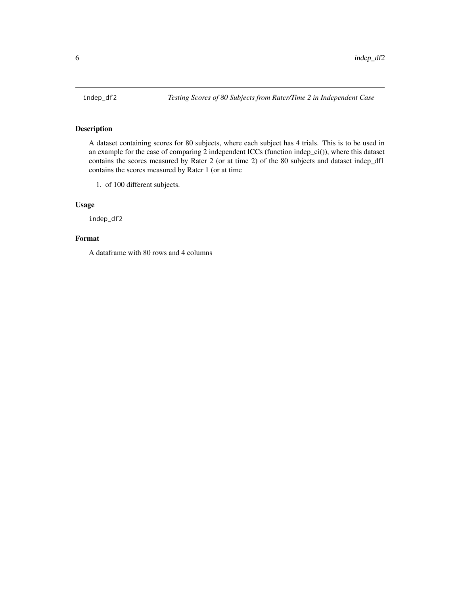<span id="page-5-0"></span>

#### Description

A dataset containing scores for 80 subjects, where each subject has 4 trials. This is to be used in an example for the case of comparing 2 independent ICCs (function indep\_ci()), where this dataset contains the scores measured by Rater 2 (or at time 2) of the 80 subjects and dataset indep\_df1 contains the scores measured by Rater 1 (or at time

1. of 100 different subjects.

#### Usage

indep\_df2

#### Format

A dataframe with 80 rows and 4 columns